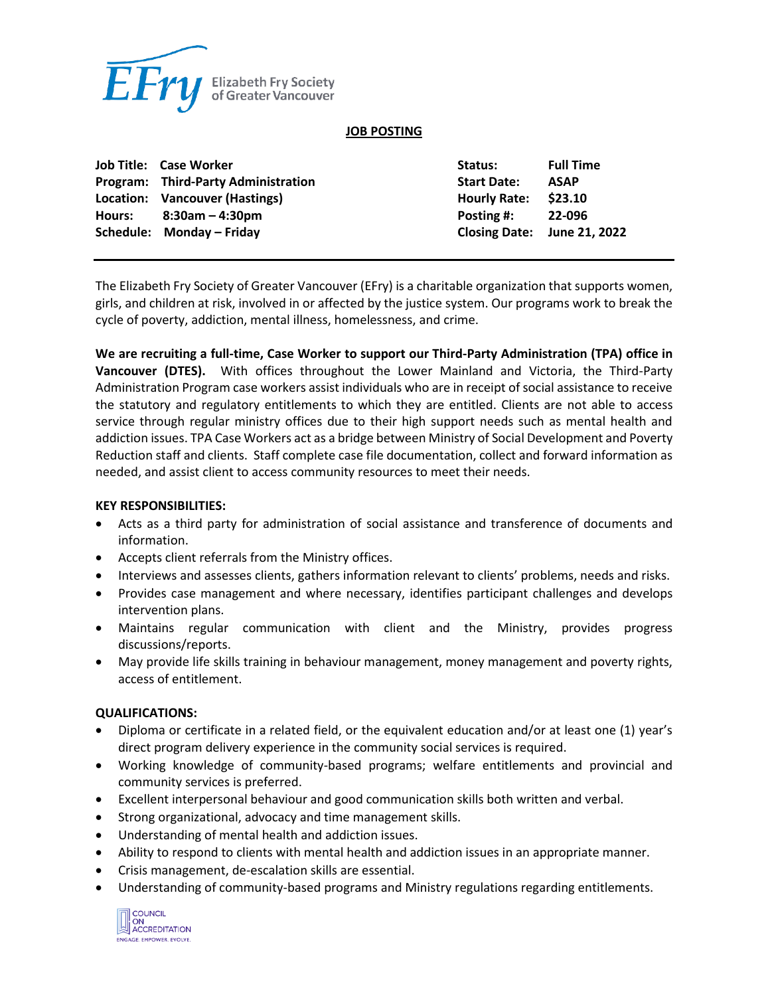

#### **JOB POSTING**

| Job Title: Case Worker                     | Status:              | <b>Full Time</b>            |
|--------------------------------------------|----------------------|-----------------------------|
| <b>Program:</b> Third-Party Administration | <b>Start Date:</b>   | <b>ASAP</b>                 |
| Location: Vancouver (Hastings)             | Hourly Rate: \$23.10 |                             |
| Hours: $8:30am - 4:30pm$                   | Posting #:           | 22-096                      |
| Schedule: Monday - Friday                  |                      | Closing Date: June 21, 2022 |

The Elizabeth Fry Society of Greater Vancouver (EFry) is a charitable organization that supports women, girls, and children at risk, involved in or affected by the justice system. Our programs work to break the cycle of poverty, addiction, mental illness, homelessness, and crime.

**We are recruiting a full-time, Case Worker to support our Third-Party Administration (TPA) office in Vancouver (DTES).** With offices throughout the Lower Mainland and Victoria, the Third-Party Administration Program case workers assist individuals who are in receipt of social assistance to receive the statutory and regulatory entitlements to which they are entitled. Clients are not able to access service through regular ministry offices due to their high support needs such as mental health and addiction issues. TPA Case Workers act as a bridge between Ministry of Social Development and Poverty Reduction staff and clients. Staff complete case file documentation, collect and forward information as needed, and assist client to access community resources to meet their needs.

#### **KEY RESPONSIBILITIES:**

- Acts as a third party for administration of social assistance and transference of documents and information.
- Accepts client referrals from the Ministry offices.
- Interviews and assesses clients, gathers information relevant to clients' problems, needs and risks.
- Provides case management and where necessary, identifies participant challenges and develops intervention plans.
- Maintains regular communication with client and the Ministry, provides progress discussions/reports.
- May provide life skills training in behaviour management, money management and poverty rights, access of entitlement.

## **QUALIFICATIONS:**

- Diploma or certificate in a related field, or the equivalent education and/or at least one (1) year's direct program delivery experience in the community social services is required.
- Working knowledge of community-based programs; welfare entitlements and provincial and community services is preferred.
- Excellent interpersonal behaviour and good communication skills both written and verbal.
- Strong organizational, advocacy and time management skills.
- Understanding of mental health and addiction issues.
- Ability to respond to clients with mental health and addiction issues in an appropriate manner.
- Crisis management, de-escalation skills are essential.
- Understanding of community-based programs and Ministry regulations regarding entitlements.